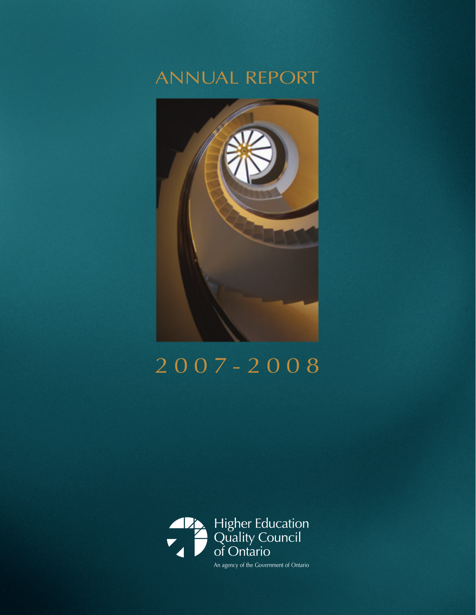# ANNUAL REPORT



# 2007-2008

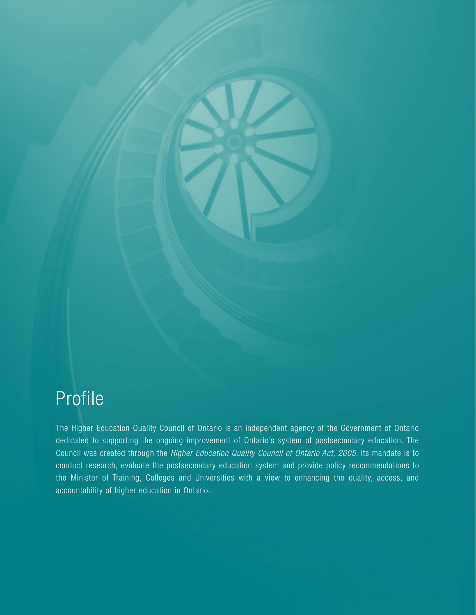# Profile

The Higher Education Quality Council of Ontario is an independent agency of the Government of Ontario dedicated to supporting the ongoing improvement of Ontario's system of postsecondary education. The Council was created through the *Higher Education Quality Council of Ontario Act, 2005*. Its mandate is to conduct research, evaluate the postsecondary education system and provide policy recommendations to the Minister of Training, Colleges and Universities with a view to enhancing the quality, access, and accountability of higher education in Ontario.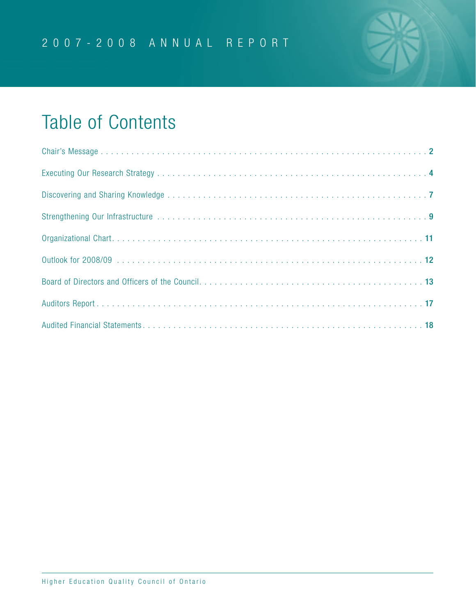

# Table of Contents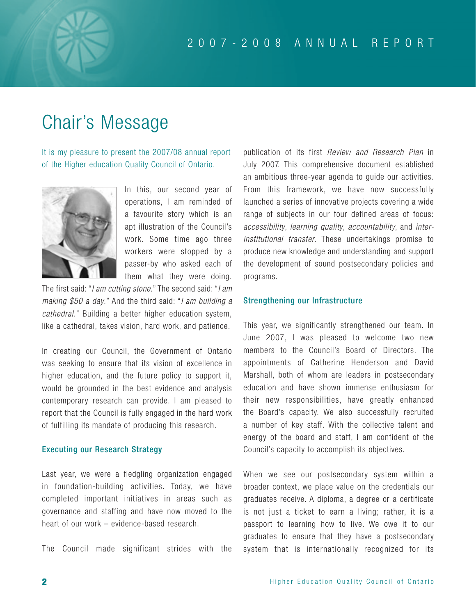# Chair's Message

It is my pleasure to present the 2007/08 annual report of the Higher education Quality Council of Ontario.



In this, our second year of operations, I am reminded of a favourite story which is an apt illustration of the Council's work. Some time ago three workers were stopped by a passer-by who asked each of them what they were doing.

The first said: "*I am cutting stone*." The second said: "*I am making \$50 a day*." And the third said: "*I am building a cathedral*." Building a better higher education system, like a cathedral, takes vision, hard work, and patience.

In creating our Council, the Government of Ontario was seeking to ensure that its vision of excellence in higher education, and the future policy to support it, would be grounded in the best evidence and analysis contemporary research can provide. I am pleased to report that the Council is fully engaged in the hard work of fulfilling its mandate of producing this research.

### Executing our Research Strategy

Last year, we were a fledgling organization engaged in foundation-building activities. Today, we have completed important initiatives in areas such as governance and staffing and have now moved to the heart of our work – evidence-based research.

The Council made significant strides with the

publication of its first *Review and Research Plan* in July 2007. This comprehensive document established an ambitious three-year agenda to guide our activities. From this framework, we have now successfully launched a series of innovative projects covering a wide range of subjects in our four defined areas of focus: *accessibility*, *learning quality*, *accountability*, and *interinstitutional transfer*. These undertakings promise to produce new knowledge and understanding and support the development of sound postsecondary policies and programs.

### Strengthening our Infrastructure

This year, we significantly strengthened our team. In June 2007, I was pleased to welcome two new members to the Council's Board of Directors. The appointments of Catherine Henderson and David Marshall, both of whom are leaders in postsecondary education and have shown immense enthusiasm for their new responsibilities, have greatly enhanced the Board's capacity. We also successfully recruited a number of key staff. With the collective talent and energy of the board and staff, I am confident of the Council's capacity to accomplish its objectives.

When we see our postsecondary system within a broader context, we place value on the credentials our graduates receive. A diploma, a degree or a certificate is not just a ticket to earn a living; rather, it is a passport to learning how to live. We owe it to our graduates to ensure that they have a postsecondary system that is internationally recognized for its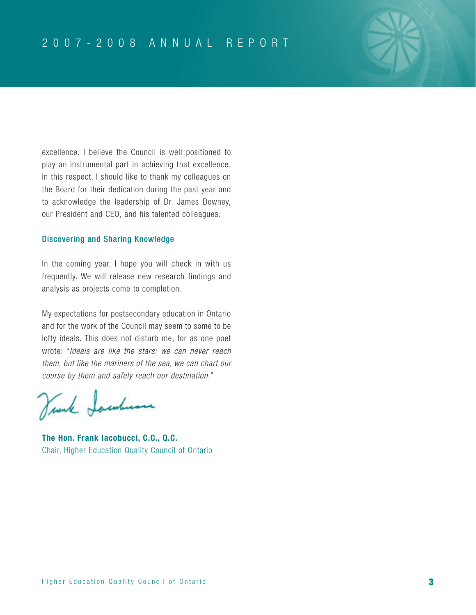excellence. I believe the Council is well positioned to play an instrumental part in achieving that excellence. In this respect, I should like to thank my colleagues on the Board for their dedication during the past year and to acknowledge the leadership of Dr. James Downey, our President and CEO, and his talented colleagues.

### Discovering and Sharing Knowledge

In the coming year, I hope you will check in with us frequently. We will release new research findings and analysis as projects come to completion.

My expectations for postsecondary education in Ontario and for the work of the Council may seem to some to be lofty ideals. This does not disturb me, for as one poet wrote: "*Ideals are like the stars: we can never reach them, but like the mariners of the sea, we can chart our course by them and safely reach our destination*."

Venk Jacobuse

**The Hon. Frank Iacobucci, C.C., Q.C.** Chair, Higher Education Quality Council of Ontario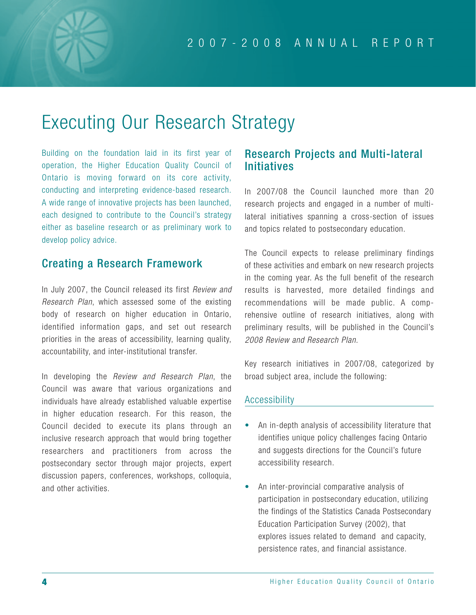# Executing Our Research Strategy

Building on the foundation laid in its first year of operation, the Higher Education Quality Council of Ontario is moving forward on its core activity, conducting and interpreting evidence-based research. A wide range of innovative projects has been launched, each designed to contribute to the Council's strategy either as baseline research or as preliminary work to develop policy advice.

## Creating a Research Framework

In July 2007, the Council released its first *Review and Research Plan*, which assessed some of the existing body of research on higher education in Ontario, identified information gaps, and set out research priorities in the areas of accessibility, learning quality, accountability, and inter-institutional transfer.

In developing the *Review and Research Plan*, the Council was aware that various organizations and individuals have already established valuable expertise in higher education research. For this reason, the Council decided to execute its plans through an inclusive research approach that would bring together researchers and practitioners from across the postsecondary sector through major projects, expert discussion papers, conferences, workshops, colloquia, and other activities.

## Research Projects and Multi-lateral Initiatives

In 2007/08 the Council launched more than 20 research projects and engaged in a number of multilateral initiatives spanning a cross-section of issues and topics related to postsecondary education.

The Council expects to release preliminary findings of these activities and embark on new research projects in the coming year. As the full benefit of the research results is harvested, more detailed findings and recommendations will be made public. A comprehensive outline of research initiatives, along with preliminary results, will be published in the Council's *2008 Review and Research Plan*.

Key research initiatives in 2007/08, categorized by broad subject area, include the following:

### Accessibility

- An in-depth analysis of accessibility literature that identifies unique policy challenges facing Ontario and suggests directions for the Council's future accessibility research.
- An inter-provincial comparative analysis of participation in postsecondary education, utilizing the findings of the Statistics Canada Postsecondary Education Participation Survey (2002), that explores issues related to demand and capacity, persistence rates, and financial assistance.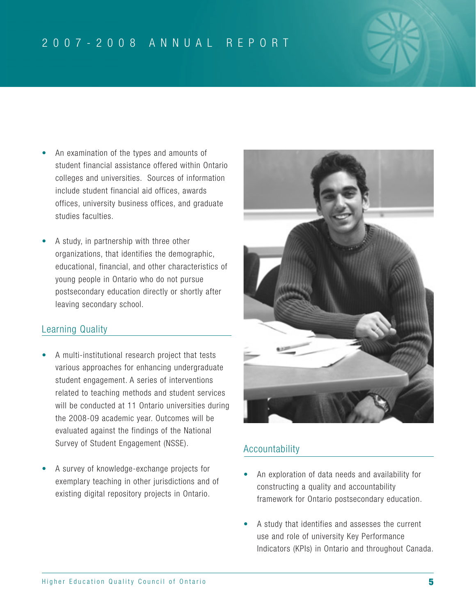## 2007-2008 ANNUAL REPORT

- An examination of the types and amounts of student financial assistance offered within Ontario colleges and universities. Sources of information include student financial aid offices, awards offices, university business offices, and graduate studies faculties.
- A study, in partnership with three other organizations, that identifies the demographic, educational, financial, and other characteristics of young people in Ontario who do not pursue postsecondary education directly or shortly after leaving secondary school.

### Learning Quality

- A multi-institutional research project that tests various approaches for enhancing undergraduate student engagement. A series of interventions related to teaching methods and student services will be conducted at 11 Ontario universities during the 2008-09 academic year. Outcomes will be evaluated against the findings of the National Survey of Student Engagement (NSSE).
- A survey of knowledge-exchange projects for exemplary teaching in other jurisdictions and of existing digital repository projects in Ontario.



### Accountability

- An exploration of data needs and availability for constructing a quality and accountability framework for Ontario postsecondary education.
- A study that identifies and assesses the current use and role of university Key Performance Indicators (KPIs) in Ontario and throughout Canada.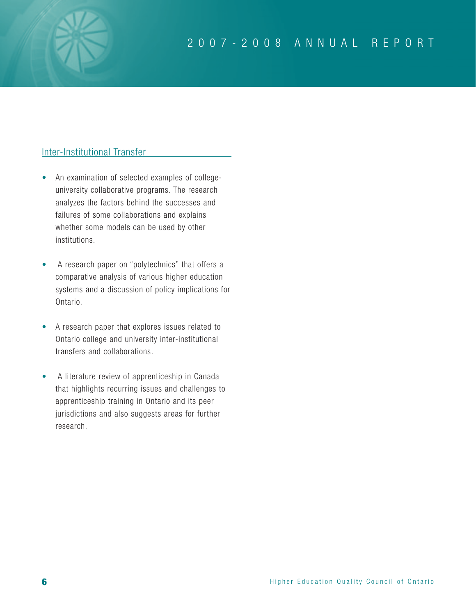### Inter-Institutional Transfer

- An examination of selected examples of collegeuniversity collaborative programs. The research analyzes the factors behind the successes and failures of some collaborations and explains whether some models can be used by other institutions.
- A research paper on "polytechnics" that offers a comparative analysis of various higher education systems and a discussion of policy implications for Ontario.
- A research paper that explores issues related to Ontario college and university inter-institutional transfers and collaborations.
- A literature review of apprenticeship in Canada that highlights recurring issues and challenges to apprenticeship training in Ontario and its peer jurisdictions and also suggests areas for further research.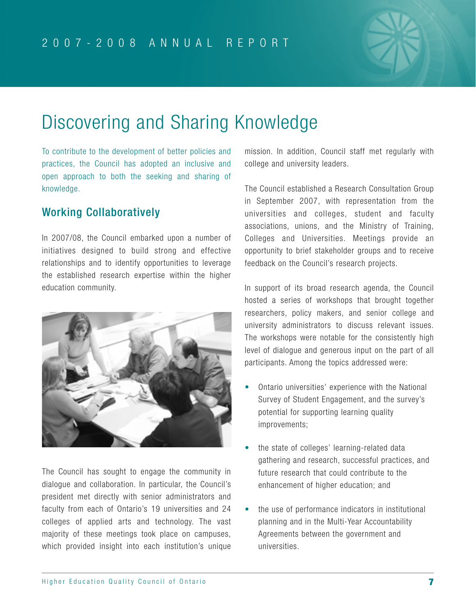

# Discovering and Sharing Knowledge

To contribute to the development of better policies and practices, the Council has adopted an inclusive and open approach to both the seeking and sharing of knowledge.

## Working Collaboratively

In 2007/08, the Council embarked upon a number of initiatives designed to build strong and effective relationships and to identify opportunities to leverage the established research expertise within the higher education community.



The Council has sought to engage the community in dialogue and collaboration. In particular, the Council's president met directly with senior administrators and faculty from each of Ontario's 19 universities and 24 colleges of applied arts and technology. The vast majority of these meetings took place on campuses, which provided insight into each institution's unique

mission. In addition, Council staff met regularly with college and university leaders.

The Council established a Research Consultation Group in September 2007, with representation from the universities and colleges, student and faculty associations, unions, and the Ministry of Training, Colleges and Universities. Meetings provide an opportunity to brief stakeholder groups and to receive feedback on the Council's research projects.

In support of its broad research agenda, the Council hosted a series of workshops that brought together researchers, policy makers, and senior college and university administrators to discuss relevant issues. The workshops were notable for the consistently high level of dialogue and generous input on the part of all participants. Among the topics addressed were:

- Ontario universities' experience with the National Survey of Student Engagement, and the survey's potential for supporting learning quality improvements;
- the state of colleges' learning-related data gathering and research, successful practices, and future research that could contribute to the enhancement of higher education; and
- the use of performance indicators in institutional planning and in the Multi-Year Accountability Agreements between the government and universities.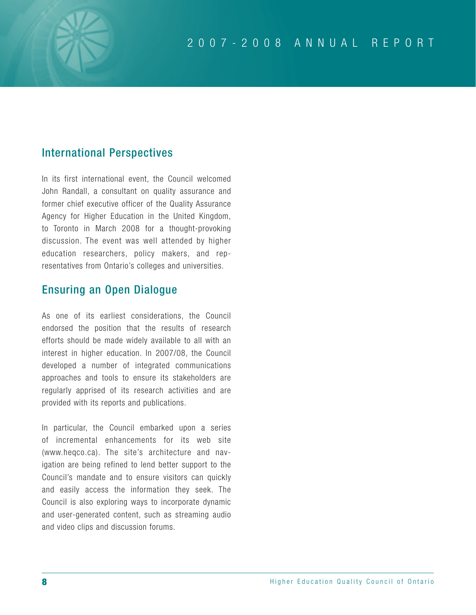## International Perspectives

In its first international event, the Council welcomed John Randall, a consultant on quality assurance and former chief executive officer of the Quality Assurance Agency for Higher Education in the United Kingdom, to Toronto in March 2008 for a thought-provoking discussion. The event was well attended by higher education researchers, policy makers, and representatives from Ontario's colleges and universities.

## Ensuring an Open Dialogue

As one of its earliest considerations, the Council endorsed the position that the results of research efforts should be made widely available to all with an interest in higher education. In 2007/08, the Council developed a number of integrated communications approaches and tools to ensure its stakeholders are regularly apprised of its research activities and are provided with its reports and publications.

In particular, the Council embarked upon a series of incremental enhancements for its web site (www.heqco.ca). The site's architecture and navigation are being refined to lend better support to the Council's mandate and to ensure visitors can quickly and easily access the information they seek. The Council is also exploring ways to incorporate dynamic and user-generated content, such as streaming audio and video clips and discussion forums.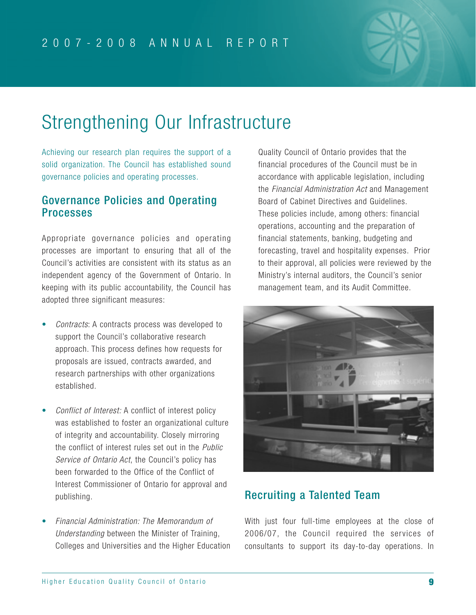

# Strengthening Our Infrastructure

Achieving our research plan requires the support of a solid organization. The Council has established sound governance policies and operating processes.

### Governance Policies and Operating **Processes**

Appropriate governance policies and operating processes are important to ensuring that all of the Council's activities are consistent with its status as an independent agency of the Government of Ontario. In keeping with its public accountability, the Council has adopted three significant measures:

- *Contracts*: A contracts process was developed to support the Council's collaborative research approach. This process defines how requests for proposals are issued, contracts awarded, and research partnerships with other organizations established.
- *Conflict of Interest:* A conflict of interest policy was established to foster an organizational culture of integrity and accountability. Closely mirroring the conflict of interest rules set out in the *Public Service of Ontario Act*, the Council's policy has been forwarded to the Office of the Conflict of Interest Commissioner of Ontario for approval and publishing.
- *Financial Administration: The Memorandum of Understanding* between the Minister of Training, Colleges and Universities and the Higher Education

Quality Council of Ontario provides that the financial procedures of the Council must be in accordance with applicable legislation, including the *Financial Administration Act* and Management Board of Cabinet Directives and Guidelines. These policies include, among others: financial operations, accounting and the preparation of financial statements, banking, budgeting and forecasting, travel and hospitality expenses. Prior to their approval, all policies were reviewed by the Ministry's internal auditors, the Council's senior management team, and its Audit Committee.



## Recruiting a Talented Team

With just four full-time employees at the close of 2006/07, the Council required the services of consultants to support its day-to-day operations. In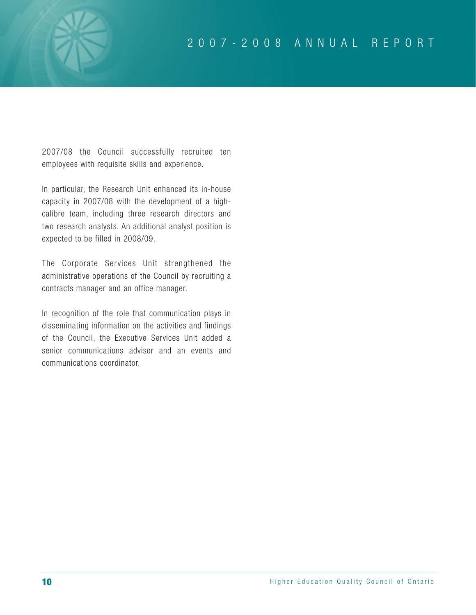2007/08 the Council successfully recruited ten employees with requisite skills and experience.

In particular, the Research Unit enhanced its in-house capacity in 2007/08 with the development of a highcalibre team, including three research directors and two research analysts. An additional analyst position is expected to be filled in 2008/09.

The Corporate Services Unit strengthened the administrative operations of the Council by recruiting a contracts manager and an office manager.

In recognition of the role that communication plays in disseminating information on the activities and findings of the Council, the Executive Services Unit added a senior communications advisor and an events and communications coordinator.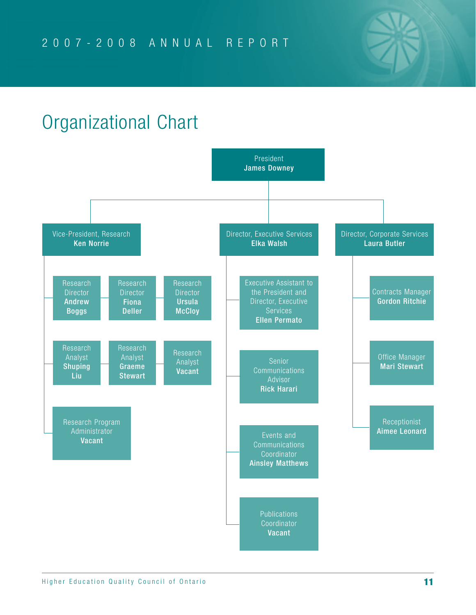# Organizational Chart

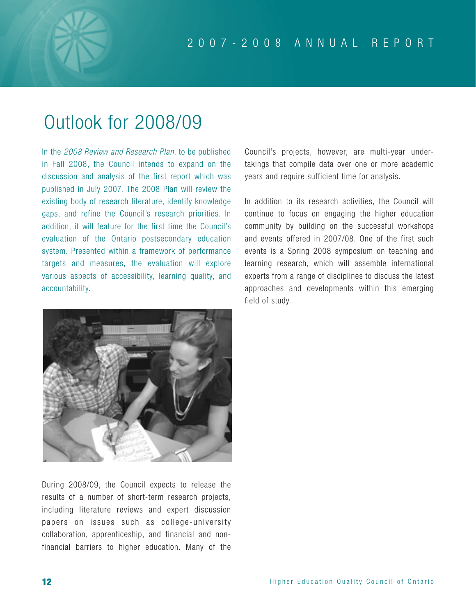# Outlook for 2008/09

In the *2008 Review and Research Plan*, to be published in Fall 2008, the Council intends to expand on the discussion and analysis of the first report which was published in July 2007. The 2008 Plan will review the existing body of research literature, identify knowledge gaps, and refine the Council's research priorities. In addition, it will feature for the first time the Council's evaluation of the Ontario postsecondary education system. Presented within a framework of performance targets and measures, the evaluation will explore various aspects of accessibility, learning quality, and accountability.

Council's projects, however, are multi-year undertakings that compile data over one or more academic years and require sufficient time for analysis.

In addition to its research activities, the Council will continue to focus on engaging the higher education community by building on the successful workshops and events offered in 2007/08. One of the first such events is a Spring 2008 symposium on teaching and learning research, which will assemble international experts from a range of disciplines to discuss the latest approaches and developments within this emerging field of study.



During 2008/09, the Council expects to release the results of a number of short-term research projects, including literature reviews and expert discussion papers on issues such as college-university collaboration, apprenticeship, and financial and nonfinancial barriers to higher education. Many of the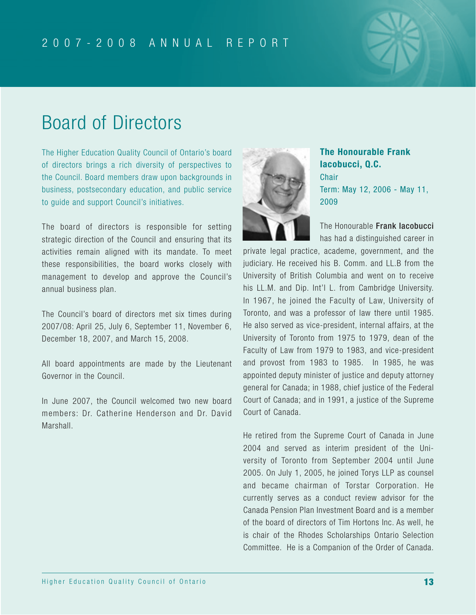

# Board of Directors

The Higher Education Quality Council of Ontario's board of directors brings a rich diversity of perspectives to the Council. Board members draw upon backgrounds in business, postsecondary education, and public service to guide and support Council's initiatives.

The board of directors is responsible for setting strategic direction of the Council and ensuring that its activities remain aligned with its mandate. To meet these responsibilities, the board works closely with management to develop and approve the Council's annual business plan.

The Council's board of directors met six times during 2007/08: April 25, July 6, September 11, November 6, December 18, 2007, and March 15, 2008.

All board appointments are made by the Lieutenant Governor in the Council.

In June 2007, the Council welcomed two new board members: Dr. Catherine Henderson and Dr. David Marshall.



**The Honourable Frank Iacobucci, Q.C. Chair** Term: May 12, 2006 - May 11, 2009

The Honourable Frank lacobucci has had a distinguished career in

private legal practice, academe, government, and the judiciary. He received his B. Comm. and LL.B from the University of British Columbia and went on to receive his LL.M. and Dip. Int'l L. from Cambridge University. In 1967, he joined the Faculty of Law, University of Toronto, and was a professor of law there until 1985. He also served as vice-president, internal affairs, at the University of Toronto from 1975 to 1979, dean of the Faculty of Law from 1979 to 1983, and vice-president and provost from 1983 to 1985. In 1985, he was appointed deputy minister of justice and deputy attorney general for Canada; in 1988, chief justice of the Federal Court of Canada; and in 1991, a justice of the Supreme Court of Canada.

He retired from the Supreme Court of Canada in June 2004 and served as interim president of the University of Toronto from September 2004 until June 2005. On July 1, 2005, he joined Torys LLP as counsel and became chairman of Torstar Corporation. He currently serves as a conduct review advisor for the Canada Pension Plan Investment Board and is a member of the board of directors of Tim Hortons Inc. As well, he is chair of the Rhodes Scholarships Ontario Selection Committee. He is a Companion of the Order of Canada.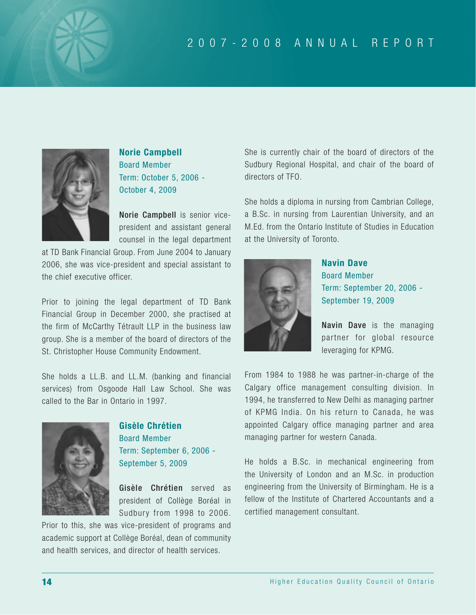

**Norie Campbell** Board Member Term: October 5, 2006 - October 4, 2009

Norie Campbell is senior vicepresident and assistant general counsel in the legal department

at TD Bank Financial Group. From June 2004 to January 2006, she was vice-president and special assistant to the chief executive officer.

Prior to joining the legal department of TD Bank Financial Group in December 2000, she practised at the firm of McCarthy Tétrault LLP in the business law group. She is a member of the board of directors of the St. Christopher House Community Endowment.

She holds a LL.B. and LL.M. (banking and financial services) from Osgoode Hall Law School. She was called to the Bar in Ontario in 1997.



**Gisèle Chrétien** Board Member Term: September 6, 2006 - September 5, 2009

Gisèle Chrétien served as president of Collège Boréal in Sudbury from 1998 to 2006.

Prior to this, she was vice-president of programs and academic support at Collège Boréal, dean of community and health services, and director of health services.

She is currently chair of the board of directors of the Sudbury Regional Hospital, and chair of the board of directors of TFO.

She holds a diploma in nursing from Cambrian College, a B.Sc. in nursing from Laurentian University, and an M.Ed. from the Ontario Institute of Studies in Education at the University of Toronto.



**Navin Dave** Board Member Term: September 20, 2006 - September 19, 2009

Navin Dave is the managing partner for global resource leveraging for KPMG.

From 1984 to 1988 he was partner-in-charge of the Calgary office management consulting division. In 1994, he transferred to New Delhi as managing partner of KPMG India. On his return to Canada, he was appointed Calgary office managing partner and area managing partner for western Canada.

He holds a B.Sc. in mechanical engineering from the University of London and an M.Sc. in production engineering from the University of Birmingham. He is a fellow of the Institute of Chartered Accountants and a certified management consultant.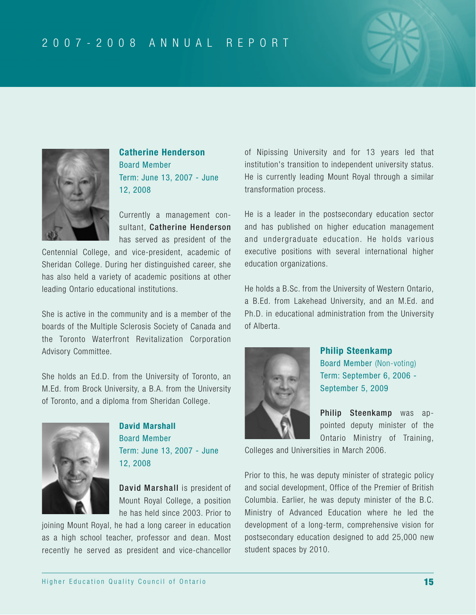



**Catherine Henderson** Board Member Term: June 13, 2007 - June 12, 2008

Currently a management consultant, Catherine Henderson has served as president of the

Centennial College, and vice-president, academic of Sheridan College. During her distinguished career, she has also held a variety of academic positions at other leading Ontario educational institutions.

She is active in the community and is a member of the boards of the Multiple Sclerosis Society of Canada and the Toronto Waterfront Revitalization Corporation Advisory Committee.

She holds an Ed.D. from the University of Toronto, an M.Ed. from Brock University, a B.A. from the University of Toronto, and a diploma from Sheridan College.



**David Marshall**  Board Member Term: June 13, 2007 - June 12, 2008

David Marshall is president of Mount Royal College, a position he has held since 2003. Prior to

joining Mount Royal, he had a long career in education as a high school teacher, professor and dean. Most recently he served as president and vice-chancellor of Nipissing University and for 13 years led that institution's transition to independent university status. He is currently leading Mount Royal through a similar transformation process.

He is a leader in the postsecondary education sector and has published on higher education management and undergraduate education. He holds various executive positions with several international higher education organizations.

He holds a B.Sc. from the University of Western Ontario, a B.Ed. from Lakehead University, and an M.Ed. and Ph.D. in educational administration from the University of Alberta.



### **Philip Steenkamp**

Board Member (Non-voting) Term: September 6, 2006 - September 5, 2009

Philip Steenkamp was appointed deputy minister of the Ontario Ministry of Training,

Colleges and Universities in March 2006.

Prior to this, he was deputy minister of strategic policy and social development, Office of the Premier of British Columbia. Earlier, he was deputy minister of the B.C. Ministry of Advanced Education where he led the development of a long-term, comprehensive vision for postsecondary education designed to add 25,000 new student spaces by 2010.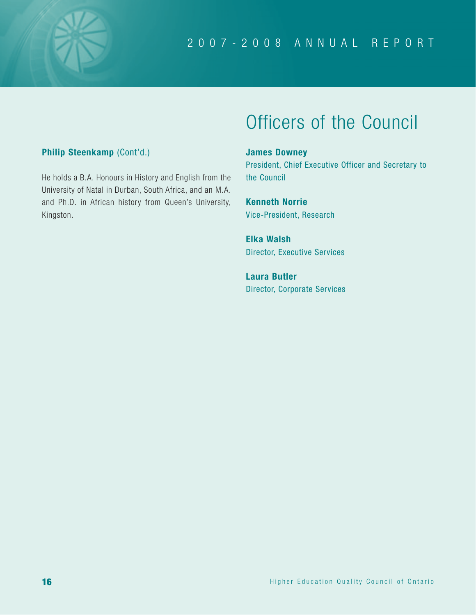

# Officers of the Council

### **Philip Steenkamp** (Cont'd.)

He holds a B.A. Honours in History and English from the University of Natal in Durban, South Africa, and an M.A. and Ph.D. in African history from Queen's University, Kingston.

### **James Downey**

President, Chief Executive Officer and Secretary to the Council

**Kenneth Norrie** Vice-President, Research

**Elka Walsh** Director, Executive Services

**Laura Butler** Director, Corporate Services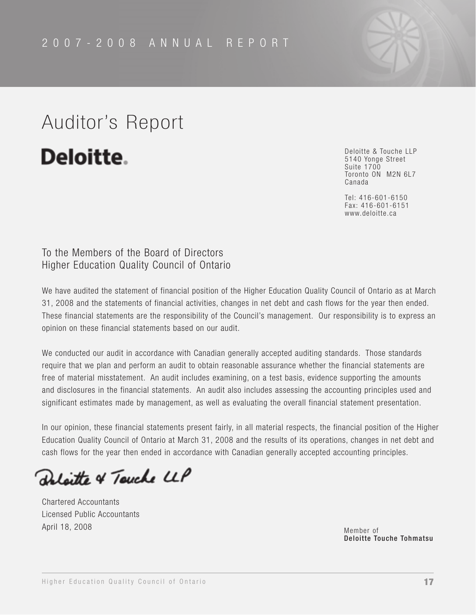# Auditor's Report

Deloitte.

Deloitte & Touche LLP 5140 Yonge Street Suite 1700 Toronto ON M2N 6L7 Canada

Tel: 416-601-6150 Fax: 416-601-6151 www.deloitte.ca

### To the Members of the Board of Directors Higher Education Quality Council of Ontario

We have audited the statement of financial position of the Higher Education Quality Council of Ontario as at March 31, 2008 and the statements of financial activities, changes in net debt and cash flows for the year then ended. These financial statements are the responsibility of the Council's management. Our responsibility is to express an opinion on these financial statements based on our audit.

We conducted our audit in accordance with Canadian generally accepted auditing standards. Those standards require that we plan and perform an audit to obtain reasonable assurance whether the financial statements are free of material misstatement. An audit includes examining, on a test basis, evidence supporting the amounts and disclosures in the financial statements. An audit also includes assessing the accounting principles used and significant estimates made by management, as well as evaluating the overall financial statement presentation.

In our opinion, these financial statements present fairly, in all material respects, the financial position of the Higher Education Quality Council of Ontario at March 31, 2008 and the results of its operations, changes in net debt and cash flows for the year then ended in accordance with Canadian generally accepted accounting principles.

laitte & Touche LLP

Chartered Accountants Licensed Public Accountants April 18, 2008

Member of Deloitte Touche Tohmatsu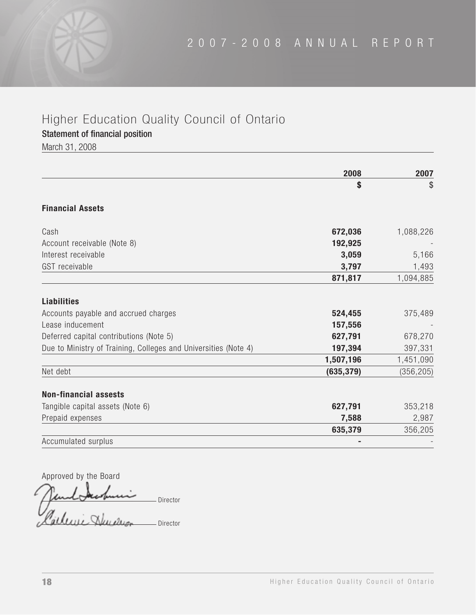Statement of financial position

March 31, 2008

|                                                                 | 2008       | 2007       |
|-----------------------------------------------------------------|------------|------------|
|                                                                 | \$         | \$         |
| <b>Financial Assets</b>                                         |            |            |
| Cash                                                            | 672,036    | 1,088,226  |
| Account receivable (Note 8)                                     | 192,925    |            |
| Interest receivable                                             | 3,059      | 5,166      |
| GST receivable                                                  | 3,797      | 1,493      |
|                                                                 | 871,817    | 1,094,885  |
| <b>Liabilities</b>                                              |            |            |
| Accounts payable and accrued charges                            | 524,455    | 375,489    |
| Lease inducement                                                | 157,556    |            |
| Deferred capital contributions (Note 5)                         | 627,791    | 678,270    |
| Due to Ministry of Training, Colleges and Universities (Note 4) | 197,394    | 397,331    |
|                                                                 | 1,507,196  | 1,451,090  |
| Net debt                                                        | (635, 379) | (356, 205) |
| <b>Non-financial assests</b>                                    |            |            |
| Tangible capital assets (Note 6)                                | 627,791    | 353,218    |
| Prepaid expenses                                                | 7,588      | 2,987      |
|                                                                 | 635,379    | 356,205    |
| Accumulated surplus                                             |            |            |

Approved by the Board Director atleni Shum Director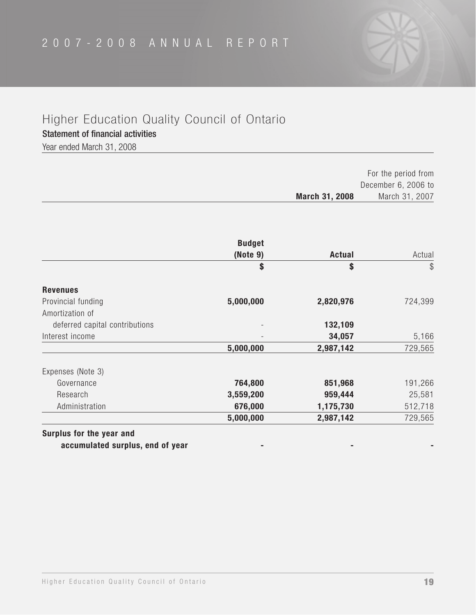Statement of financial activities

Year ended March 31, 2008

|                | For the period from |
|----------------|---------------------|
|                | December 6, 2006 to |
| March 31, 2008 | March 31, 2007      |

|               | <b>Budget</b> |                                |
|---------------|---------------|--------------------------------|
| <b>Actual</b> | (Note 9)      |                                |
| \$            | \$            |                                |
|               |               | <b>Revenues</b>                |
| 2,820,976     | 5,000,000     | Provincial funding             |
|               |               | Amortization of                |
| 132,109       |               | deferred capital contributions |
| 34,057        |               | Interest income                |
| 2,987,142     | 5,000,000     |                                |
|               |               | Expenses (Note 3)              |
| 851,968       | 764,800       | Governance                     |
| 959,444       | 3,559,200     | Research                       |
| 1,175,730     | 676,000       | Administration                 |
| 2,987,142     | 5,000,000     |                                |
|               |               |                                |

**Surplus for the year and**

accumulated surplus, end of year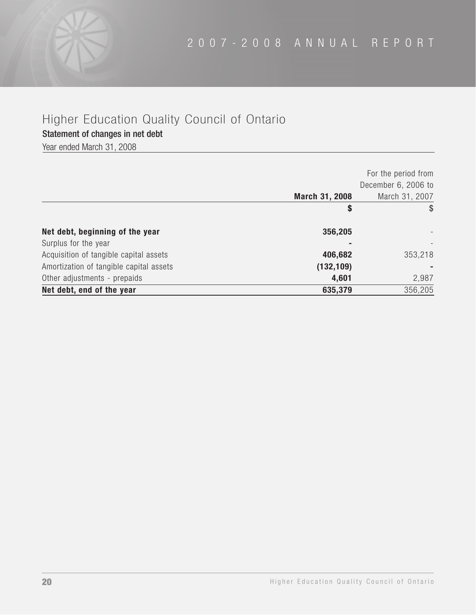Statement of changes in net debt

Year ended March 31, 2008

|                                         |                | For the period from<br>December 6, 2006 to |
|-----------------------------------------|----------------|--------------------------------------------|
|                                         | March 31, 2008 | March 31, 2007                             |
|                                         | \$             | \$                                         |
| Net debt, beginning of the year         | 356,205        |                                            |
| Surplus for the year                    |                |                                            |
| Acquisition of tangible capital assets  | 406,682        | 353,218                                    |
| Amortization of tangible capital assets | (132, 109)     |                                            |
| Other adjustments - prepaids            | 4,601          | 2,987                                      |
| Net debt, end of the year               | 635,379        | 356,205                                    |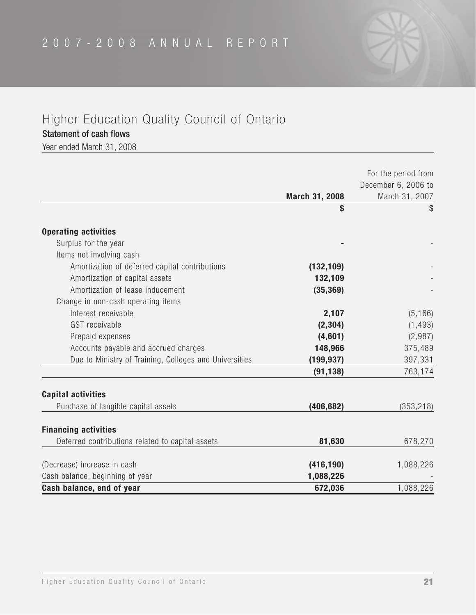### Statement of cash flows

Year ended March 31, 2008

|                                                        |                | For the period from                   |
|--------------------------------------------------------|----------------|---------------------------------------|
|                                                        | March 31, 2008 | December 6, 2006 to<br>March 31, 2007 |
|                                                        | \$             | \$                                    |
| <b>Operating activities</b>                            |                |                                       |
| Surplus for the year                                   |                |                                       |
| Items not involving cash                               |                |                                       |
| Amortization of deferred capital contributions         | (132, 109)     |                                       |
| Amortization of capital assets                         | 132,109        |                                       |
| Amortization of lease inducement                       | (35, 369)      |                                       |
| Change in non-cash operating items                     |                |                                       |
| Interest receivable                                    | 2,107          | (5, 166)                              |
| GST receivable                                         | (2, 304)       | (1, 493)                              |
| Prepaid expenses                                       | (4,601)        | (2,987)                               |
| Accounts payable and accrued charges                   | 148,966        | 375,489                               |
| Due to Ministry of Training, Colleges and Universities | (199, 937)     | 397,331                               |
|                                                        | (91, 138)      | 763,174                               |
| <b>Capital activities</b>                              |                |                                       |
| Purchase of tangible capital assets                    | (406, 682)     | (353, 218)                            |
| <b>Financing activities</b>                            |                |                                       |
| Deferred contributions related to capital assets       | 81,630         | 678,270                               |
| (Decrease) increase in cash                            | (416, 190)     | 1,088,226                             |
| Cash balance, beginning of year                        | 1,088,226      |                                       |
| Cash balance, end of year                              | 672,036        | 1,088,226                             |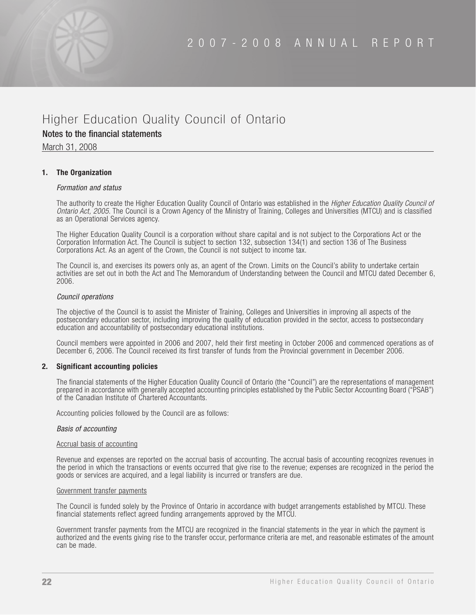### Notes to the financial statements

March 31, 2008

### **1. The Organization**

### *Formation and status*

The authority to create the Higher Education Quality Council of Ontario was established in the *Higher Education Quality Council of Ontario Act, 2005*. The Council is a Crown Agency of the Ministry of Training, Colleges and Universities (MTCU) and is classified as an Operational Services agency.

The Higher Education Quality Council is a corporation without share capital and is not subject to the Corporations Act or the Corporation Information Act. The Council is subject to section 132, subsection 134(1) and section 136 of The Business Corporations Act. As an agent of the Crown, the Council is not subject to income tax.

The Council is, and exercises its powers only as, an agent of the Crown. Limits on the Council's ability to undertake certain activities are set out in both the Act and The Memorandum of Understanding between the Council and MTCU dated December 6, 2006.

#### *Council operations*

The objective of the Council is to assist the Minister of Training, Colleges and Universities in improving all aspects of the postsecondary education sector, including improving the quality of education provided in the sector, access to postsecondary education and accountability of postsecondary educational institutions.

Council members were appointed in 2006 and 2007, held their first meeting in October 2006 and commenced operations as of December 6, 2006. The Council received its first transfer of funds from the Provincial government in December 2006.

### **2. Significant accounting policies**

The financial statements of the Higher Education Quality Council of Ontario (the "Council") are the representations of management prepared in accordance with generally accepted accounting principles established by the Public Sector Accounting Board ("PSAB") of the Canadian Institute of Chartered Accountants.

Accounting policies followed by the Council are as follows:

#### *Basis of accounting*

### Accrual basis of accounting

Revenue and expenses are reported on the accrual basis of accounting. The accrual basis of accounting recognizes revenues in the period in which the transactions or events occurred that give rise to the revenue; expenses are recognized in the period the goods or services are acquired, and a legal liability is incurred or transfers are due.

#### Government transfer payments

The Council is funded solely by the Province of Ontario in accordance with budget arrangements established by MTCU. These financial statements reflect agreed funding arrangements approved by the MTCU.

Government transfer payments from the MTCU are recognized in the financial statements in the year in which the payment is authorized and the events giving rise to the transfer occur, performance criteria are met, and reasonable estimates of the amount can be made.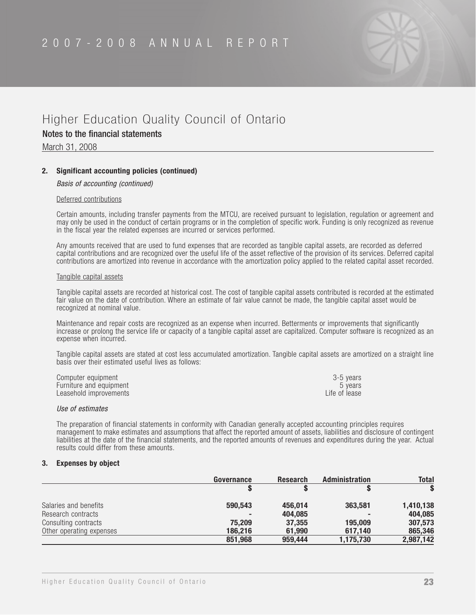

Notes to the financial statements

March 31, 2008

### **2. Significant accounting policies (continued)**

### *Basis of accounting (continued)*

#### Deferred contributions

Certain amounts, including transfer payments from the MTCU, are received pursuant to legislation, regulation or agreement and may only be used in the conduct of certain programs or in the completion of specific work. Funding is only recognized as revenue in the fiscal year the related expenses are incurred or services performed.

Any amounts received that are used to fund expenses that are recorded as tangible capital assets, are recorded as deferred capital contributions and are recognized over the useful life of the asset reflective of the provision of its services. Deferred capital contributions are amortized into revenue in accordance with the amortization policy applied to the related capital asset recorded.

#### Tangible capital assets

Tangible capital assets are recorded at historical cost. The cost of tangible capital assets contributed is recorded at the estimated fair value on the date of contribution. Where an estimate of fair value cannot be made, the tangible capital asset would be recognized at nominal value.

Maintenance and repair costs are recognized as an expense when incurred. Betterments or improvements that significantly increase or prolong the service life or capacity of a tangible capital asset are capitalized. Computer software is recognized as an expense when incurred.

Tangible capital assets are stated at cost less accumulated amortization. Tangible capital assets are amortized on a straight line basis over their estimated useful lives as follows:

| Computer equipment      | 3-5 vears     |
|-------------------------|---------------|
| Furniture and equipment | b vears       |
| Leasehold improvements  | Life of lease |

#### *Use of estimates*

The preparation of financial statements in conformity with Canadian generally accepted accounting principles requires management to make estimates and assumptions that affect the reported amount of assets, liabilities and disclosure of contingent liabilities at the date of the financial statements, and the reported amounts of revenues and expenditures during the year. Actual results could differ from these amounts.

#### **3. Expenses by object**

|                          | Governance | <b>Research</b> | <b>Administration</b> | <b>Total</b> |
|--------------------------|------------|-----------------|-----------------------|--------------|
|                          |            |                 |                       |              |
| Salaries and benefits    | 590.543    | 456.014         | 363,581               | 1,410,138    |
| Research contracts       |            | 404,085         |                       | 404,085      |
| Consulting contracts     | 75,209     | 37,355          | 195,009               | 307,573      |
| Other operating expenses | 186.216    | 61.990          | 617.140               | 865,346      |
|                          | 851,968    | 959.444         | 1,175,730             | 2,987,142    |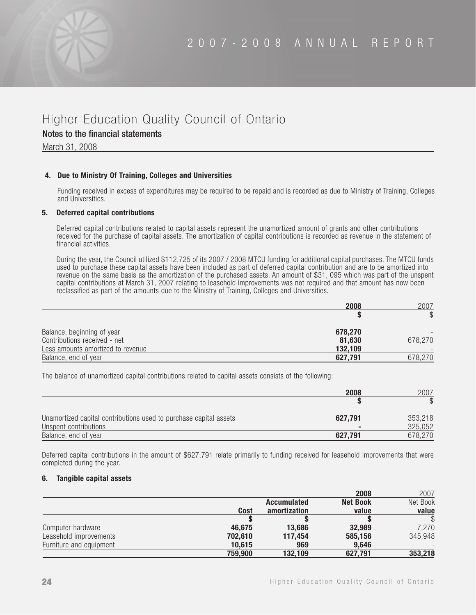### Notes to the financial statements

March 31, 2008

### **4. Due to Ministry Of Training, Colleges and Universities**

Funding received in excess of expenditures may be required to be repaid and is recorded as due to Ministry of Training, Colleges and Universities.

### **5. Deferred capital contributions**

Deferred capital contributions related to capital assets represent the unamortized amount of grants and other contributions received for the purchase of capital assets. The amortization of capital contributions is recorded as revenue in the statement of financial activities.

During the year, the Council utilized \$112,725 of its 2007 / 2008 MTCU funding for additional capital purchases. The MTCU funds used to purchase these capital assets have been included as part of deferred capital contribution and are to be amortized into revenue on the same basis as the amortization of the purchased assets. An amount of \$31, 095 which was part of the unspent capital contributions at March 31, 2007 relating to leasehold improvements was not required and that amount has now been reclassified as part of the amounts due to the Ministry of Training, Colleges and Universities.

|                                   | 2008    | 2007    |
|-----------------------------------|---------|---------|
|                                   |         |         |
| Balance, beginning of year        | 678,270 |         |
| Contributions received - net      | 81,630  | 678,270 |
| Less amounts amortized to revenue | 132,109 |         |
| Balance, end of year              | 627,791 | 678,270 |

The balance of unamortized capital contributions related to capital assets consists of the following:

|                                                                   | 2008           | 2007    |
|-------------------------------------------------------------------|----------------|---------|
|                                                                   |                |         |
| Unamortized capital contributions used to purchase capital assets | 627,791        | 353,218 |
| Unspent contributions                                             | $\blacksquare$ | 325,052 |
| Balance, end of year                                              | 627,791        | 678,270 |

Deferred capital contributions in the amount of \$627,791 relate primarily to funding received for leasehold improvements that were completed during the year.

### **6. Tangible capital assets**

|                         |         |                    | 2008            | 2007         |
|-------------------------|---------|--------------------|-----------------|--------------|
|                         |         | <b>Accumulated</b> | <b>Net Book</b> | Net Book     |
|                         | Cost    | amortization       | value           | value        |
|                         |         |                    |                 | $\mathbb{S}$ |
| Computer hardware       | 46.675  | 13,686             | 32,989          | 7,270        |
| Leasehold improvements  | 702.610 | 117.454            | 585.156         | 345,948      |
| Furniture and equipment | 10,615  | 969                | 9.646           |              |
|                         | 759,900 | 132.109            | 627.791         | 353,218      |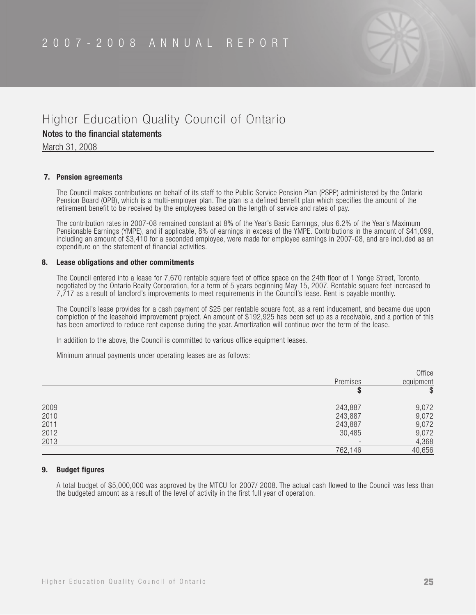

### Notes to the financial statements

March 31, 2008

### **7. Pension agreements**

The Council makes contributions on behalf of its staff to the Public Service Pension Plan (PSPP) administered by the Ontario Pension Board (OPB), which is a multi-employer plan. The plan is a defined benefit plan which specifies the amount of the retirement benefit to be received by the employees based on the length of service and rates of pay.

The contribution rates in 2007-08 remained constant at 8% of the Year's Basic Earnings, plus 6.2% of the Year's Maximum Pensionable Earnings (YMPE), and if applicable, 8% of earnings in excess of the YMPE. Contributions in the amount of \$41,099, including an amount of \$3,410 for a seconded employee, were made for employee earnings in 2007-08, and are included as an expenditure on the statement of financial activities.

### **8. Lease obligations and other commitments**

The Council entered into a lease for 7,670 rentable square feet of office space on the 24th floor of 1 Yonge Street, Toronto, negotiated by the Ontario Realty Corporation, for a term of 5 years beginning May 15, 2007. Rentable square feet increased to 7,717 as a result of landlord's improvements to meet requirements in the Council's lease. Rent is payable monthly.

The Council's lease provides for a cash payment of \$25 per rentable square foot, as a rent inducement, and became due upon completion of the leasehold improvement project. An amount of \$192,925 has been set up as a receivable, and a portion of this has been amortized to reduce rent expense during the year. Amortization will continue over the term of the lease.

In addition to the above, the Council is committed to various office equipment leases.

Minimum annual payments under operating leases are as follows:

|      |                          | Office    |
|------|--------------------------|-----------|
|      | Premises                 | equipment |
|      |                          | \$        |
| 2009 | 243,887                  | 9,072     |
| 2010 | 243,887                  | 9,072     |
| 2011 | 243,887                  | 9,072     |
| 2012 | 30,485                   | 9,072     |
| 2013 | $\overline{\phantom{0}}$ | 4,368     |
|      | 762,146                  | 40,656    |

### **9. Budget figures**

A total budget of \$5,000,000 was approved by the MTCU for 2007/ 2008. The actual cash flowed to the Council was less than the budgeted amount as a result of the level of activity in the first full year of operation.